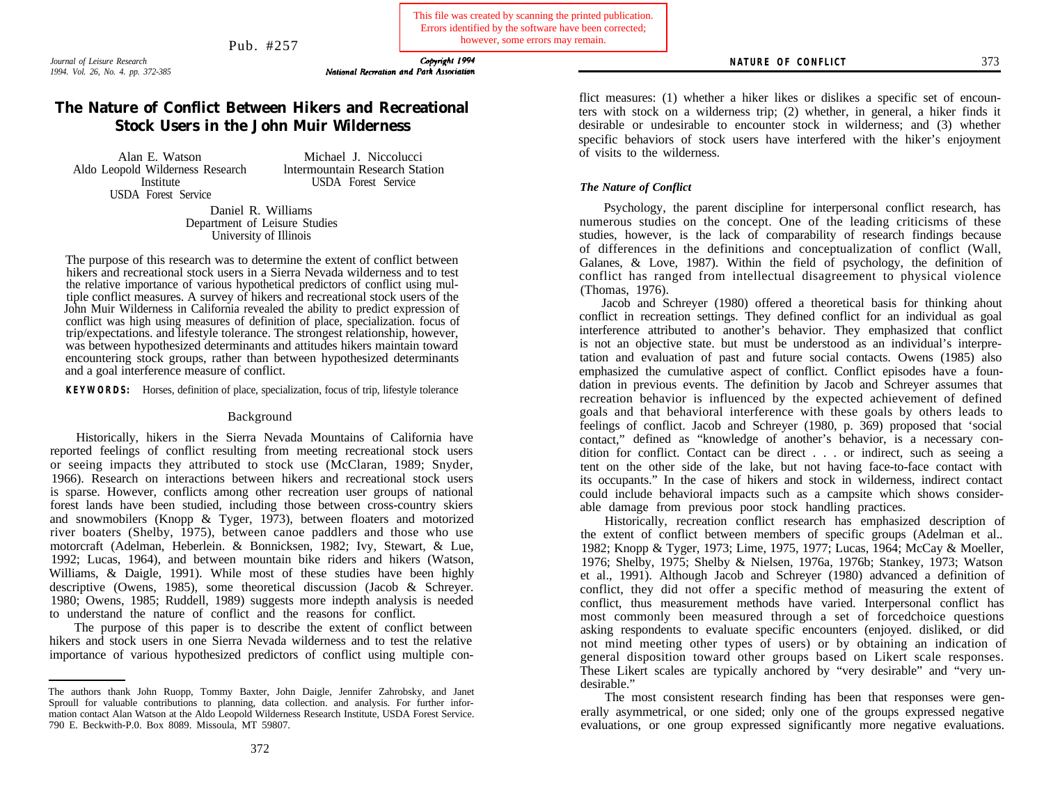Pub. #257

*Journal of Leisure Research 1994. Vol. 26, No. 4. pp. 372-385*

Copyright 1994 National Recreation and Park Association

# **The Nature of Conflict Between Hikers and Recreational Stock Users in the John Muir Wilderness**

Aldo Leopold Wilderness Research<br>Institute USDA Forest Service

Alan E. Watson Michael J. Niccolucci USDA Forest Service

> Daniel R. Williams Department of Leisure Studies University of Illinois

The purpose of this research was to determine the extent of conflict between hikers and recreational stock users in a Sierra Nevada wilderness and to test the relative importance of various hypothetical predictors of conflict using multiple conflict measures. A survey of hikers and recreational stock users of the John Muir Wilderness in California revealed the ability to predict expression of conflict was high using measures of definition of place, specialization. focus of trip/expectations. and lifestyle tolerance. The strongest relationship, however, was between hypothesized determinants and attitudes hikers maintain toward encountering stock groups, rather than between hypothesized determinants and a goal interference measure of conflict.

**KEYWORDS:** Horses, definition of place, specialization, focus of trip, lifestyle tolerance

# Background

Historically, hikers in the Sierra Nevada Mountains of California have reported feelings of conflict resulting from meeting recreational stock users or seeing impacts they attributed to stock use (McClaran, 1989; Snyder, 1966). Research on interactions between hikers and recreational stock users is sparse. However, conflicts among other recreation user groups of national forest lands have been studied, including those between cross-country skiers and snowmobilers (Knopp & Tyger, 1973), between floaters and motorized river boaters (Shelby, 1975), between canoe paddlers and those who use motorcraft (Adelman, Heberlein. & Bonnicksen, 1982; Ivy, Stewart, & Lue, 1992; Lucas, 1964), and between mountain bike riders and hikers (Watson, Williams, & Daigle, 1991). While most of these studies have been highly descriptive (Owens, 1985), some theoretical discussion (Jacob & Schreyer. 1980; Owens, 1985; Ruddell, 1989) suggests more indepth analysis is needed to understand the nature of conflict and the reasons for conflict.

The purpose of this paper is to describe the extent of conflict between hikers and stock users in one Sierra Nevada wilderness and to test the relative importance of various hypothesized predictors of conflict using multiple conflict measures: (1) whether a hiker likes or dislikes a specific set of encoun-

ters with stock on a wilderness trip; (2) whether, in general, a hiker finds it desirable or undesirable to encounter stock in wilderness; and (3) whether specific behaviors of stock users have interfered with the hiker's enjoyment of visits to the wilderness.

# *The Nature of Conflict*

This file was created by scanning the printed publication. Errors identified by the software have been corrected; however, some errors may remain.

> Psychology, the parent discipline for interpersonal conflict research, has numerous studies on the concept. One of the leading criticisms of these studies, however, is the lack of comparability of research findings because of differences in the definitions and conceptualization of conflict (Wall, Galanes, & Love, 1987). Within the field of psychology, the definition of conflict has ranged from intellectual disagreement to physical violence (Thomas, 1976).

> Jacob and Schreyer (1980) offered a theoretical basis for thinking ahout conflict in recreation settings. They defined conflict for an individual as goal interference attributed to another's behavior. They emphasized that conflict is not an objective state. but must be understood as an individual's interpretation and evaluation of past and future social contacts. Owens (1985) also emphasized the cumulative aspect of conflict. Conflict episodes have a foundation in previous events. The definition by Jacob and Schreyer assumes that recreation behavior is influenced by the expected achievement of defined goals and that behavioral interference with these goals by others leads to feelings of conflict. Jacob and Schreyer (1980, p. 369) proposed that 'social contact," defined as "knowledge of another's behavior, is a necessary condition for conflict. Contact can be direct . . . or indirect, such as seeing a tent on the other side of the lake, but not having face-to-face contact with its occupants." In the case of hikers and stock in wilderness, indirect contact could include behavioral impacts such as a campsite which shows considerable damage from previous poor stock handling practices.

> Historically, recreation conflict research has emphasized description of the extent of conflict between members of specific groups (Adelman et al.. 1982; Knopp & Tyger, 1973; Lime, 1975, 1977; Lucas, 1964; McCay & Moeller, 1976; Shelby, 1975; Shelby & Nielsen, 1976a, 1976b; Stankey, 1973; Watson et al., 1991). Although Jacob and Schreyer (1980) advanced a definition of conflict, they did not offer a specific method of measuring the extent of conflict, thus measurement methods have varied. Interpersonal conflict has most commonly been measured through a set of forcedchoice questions asking respondents to evaluate specific encounters (enjoyed. disliked, or did not mind meeting other types of users) or by obtaining an indication of general disposition toward other groups based on Likert scale responses. These Likert scales are typically anchored by "very desirable" and "very undesirable."

> The most consistent research finding has been that responses were generally asymmetrical, or one sided; only one of the groups expressed negative evaluations, or one group expressed significantly more negative evaluations.

**NATURE OF CONFLICT** 373

The authors thank John Ruopp, Tommy Baxter, John Daigle, Jennifer Zahrobsky, and Janet Sproull for valuable contributions to planning, data collection. and analysis. For further information contact Alan Watson at the Aldo Leopold Wilderness Research Institute, USDA Forest Service. 790 E. Beckwith-P.0. Box 8089. Missoula, MT 59807.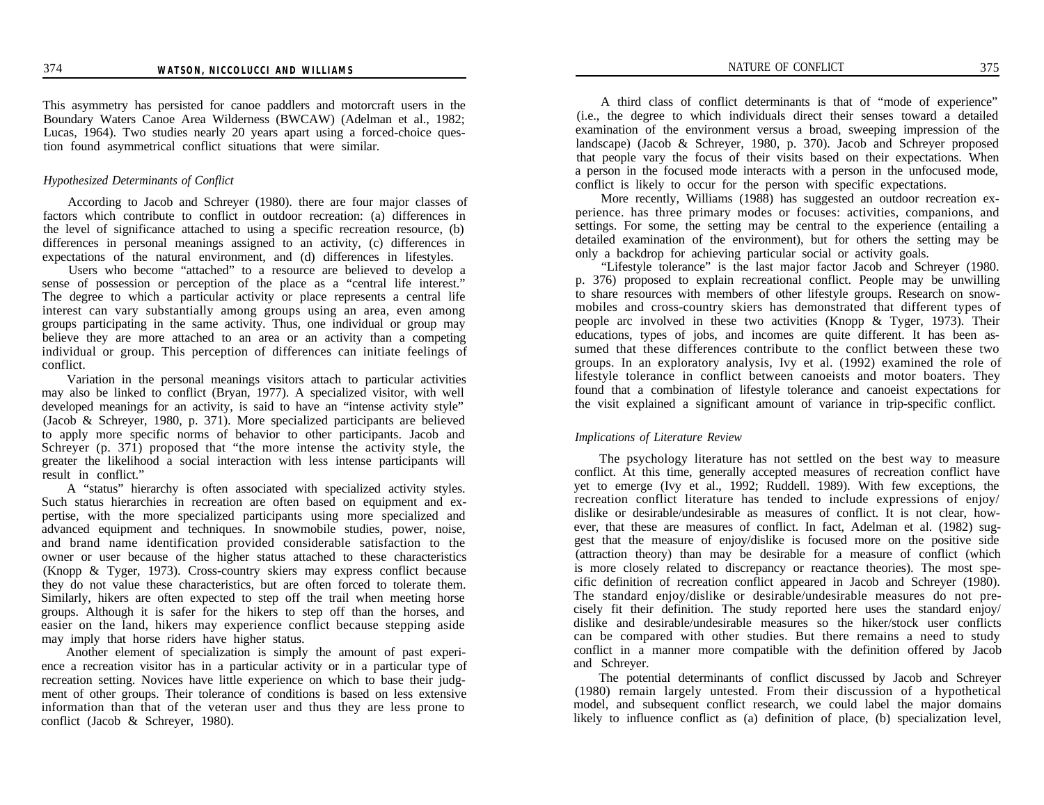This asymmetry has persisted for canoe paddlers and motorcraft users in the Boundary Waters Canoe Area Wilderness (BWCAW) (Adelman et al., 1982; Lucas, 1964). Two studies nearly 20 years apart using a forced-choice question found asymmetrical conflict situations that were similar.

### *Hypothesized Determinants of Conflict*

According to Jacob and Schreyer (1980). there are four major classes of factors which contribute to conflict in outdoor recreation: (a) differences in the level of significance attached to using a specific recreation resource, (b) differences in personal meanings assigned to an activity, (c) differences in expectations of the natural environment, and (d) differences in lifestyles.

Users who become "attached" to a resource are believed to develop a sense of possession or perception of the place as a "central life interest." The degree to which a particular activity or place represents a central life interest can vary substantially among groups using an area, even among groups participating in the same activity. Thus, one individual or group may believe they are more attached to an area or an activity than a competing individual or group. This perception of differences can initiate feelings of conflict.

Variation in the personal meanings visitors attach to particular activities may also be linked to conflict (Bryan, 1977). A specialized visitor, with well developed meanings for an activity, is said to have an "intense activity style" (Jacob & Schreyer, 1980, p. 371). More specialized participants are believed to apply more specific norms of behavior to other participants. Jacob and Schreyer (p. 371) proposed that "the more intense the activity style, the greater the likelihood a social interaction with less intense participants will result in conflict."

A "status" hierarchy is often associated with specialized activity styles. Such status hierarchies in recreation are often based on equipment and expertise, with the more specialized participants using more specialized and advanced equipment and techniques. In snowmobile studies, power, noise, and brand name identification provided considerable satisfaction to the owner or user because of the higher status attached to these characteristics (Knopp & Tyger, 1973). Cross-country skiers may express conflict because they do not value these characteristics, but are often forced to tolerate them. Similarly, hikers are often expected to step off the trail when meeting horse groups. Although it is safer for the hikers to step off than the horses, and easier on the land, hikers may experience conflict because stepping aside may imply that horse riders have higher status.

Another element of specialization is simply the amount of past experience a recreation visitor has in a particular activity or in a particular type of recreation setting. Novices have little experience on which to base their judgment of other groups. Their tolerance of conditions is based on less extensive information than that of the veteran user and thus they are less prone to conflict (Jacob & Schreyer, 1980).

NATURE OF CONFLICT 375

A third class of conflict determinants is that of "mode of experience" (i.e., the degree to which individuals direct their senses toward a detailed examination of the environment versus a broad, sweeping impression of the landscape) (Jacob & Schreyer, 1980, p. 370). Jacob and Schreyer proposed that people vary the focus of their visits based on their expectations. When a person in the focused mode interacts with a person in the unfocused mode, conflict is likely to occur for the person with specific expectations.

More recently, Williams (1988) has suggested an outdoor recreation experience. has three primary modes or focuses: activities, companions, and settings. For some, the setting may be central to the experience (entailing a detailed examination of the environment), but for others the setting may be only a backdrop for achieving particular social or activity goals.

"Lifestyle tolerance" is the last major factor Jacob and Schreyer (1980. p. 376) proposed to explain recreational conflict. People may be unwilling to share resources with members of other lifestyle groups. Research on snowmobiles and cross-country skiers has demonstrated that different types of people arc involved in these two activities (Knopp & Tyger, 1973). Their educations, types of jobs, and incomes are quite different. It has been assumed that these differences contribute to the conflict between these two groups. In an exploratory analysis, Ivy et al. (1992) examined the role of lifestyle tolerance in conflict between canoeists and motor boaters. They found that a combination of lifestyle tolerance and canoeist expectations for the visit explained a significant amount of variance in trip-specific conflict.

# *Implications of Literature Review*

The psychology literature has not settled on the best way to measure conflict. At this time, generally accepted measures of recreation conflict have yet to emerge (Ivy et al., 1992; Ruddell. 1989). With few exceptions, the recreation conflict literature has tended to include expressions of enjoy/ dislike or desirable/undesirable as measures of conflict. It is not clear, however, that these are measures of conflict. In fact, Adelman et al. (1982) suggest that the measure of enjoy/dislike is focused more on the positive side (attraction theory) than may be desirable for a measure of conflict (which is more closely related to discrepancy or reactance theories). The most specific definition of recreation conflict appeared in Jacob and Schreyer (1980). The standard enjoy/dislike or desirable/undesirable measures do not precisely fit their definition. The study reported here uses the standard enjoy/ dislike and desirable/undesirable measures so the hiker/stock user conflicts can be compared with other studies. But there remains a need to study conflict in a manner more compatible with the definition offered by Jacob and Schreyer.

The potential determinants of conflict discussed by Jacob and Schreyer (1980) remain largely untested. From their discussion of a hypothetical model, and subsequent conflict research, we could label the major domains likely to influence conflict as (a) definition of place, (b) specialization level,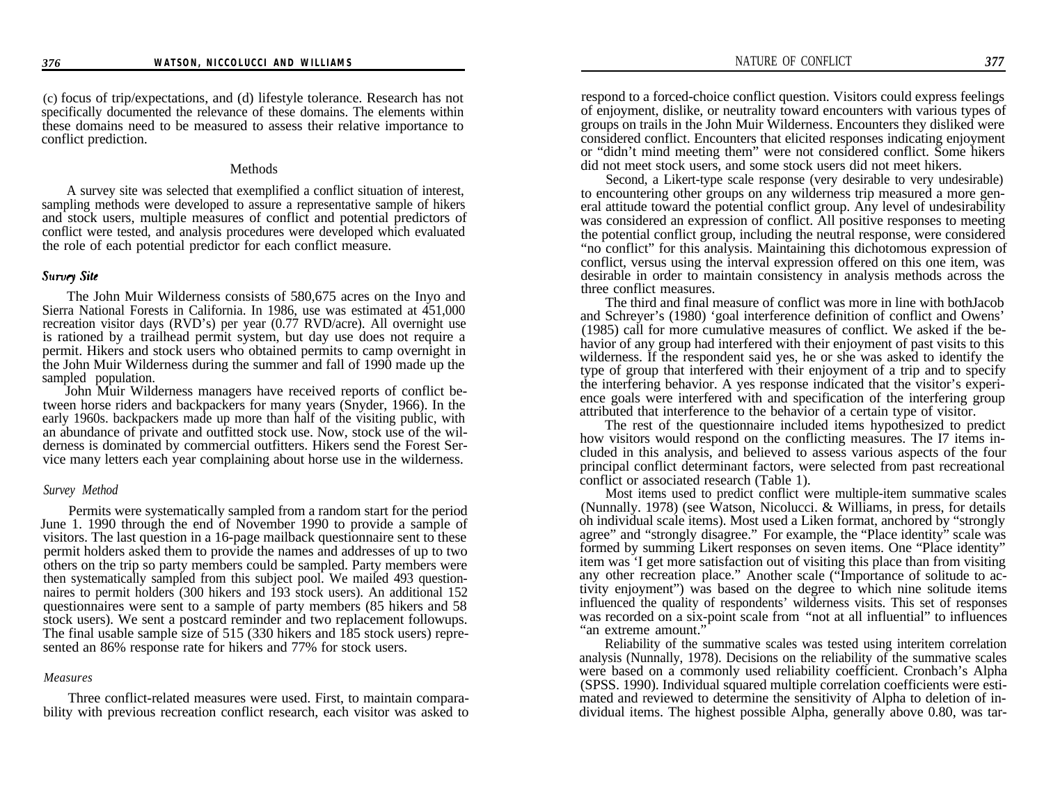(c) focus of trip/expectations, and (d) lifestyle tolerance. Research has not specifically documented the relevance of these domains. The elements within these domains need to be measured to assess their relative importance to conflict prediction.

### Methods

A survey site was selected that exemplified a conflict situation of interest, sampling methods were developed to assure a representative sample of hikers and stock users, multiple measures of conflict and potential predictors of conflict were tested, and analysis procedures were developed which evaluated the role of each potential predictor for each conflict measure.

#### Survey Site

The John Muir Wilderness consists of 580,675 acres on the Inyo and Sierra National Forests in California. In 1986, use was estimated at 451,000 recreation visitor days (RVD's) per year (0.77 RVD/acre). All overnight use is rationed by a trailhead permit system, but day use does not require a permit. Hikers and stock users who obtained permits to camp overnight in the John Muir Wilderness during the summer and fall of 1990 made up the sampled population.

John Muir Wilderness managers have received reports of conflict between horse riders and backpackers for many years (Snyder, 1966). In the early 1960s. backpackers made up more than half of the visiting public, with an abundance of private and outfitted stock use. Now, stock use of the wilderness is dominated by commercial outfitters. Hikers send the Forest Service many letters each year complaining about horse use in the wilderness.

### *Survey Method*

Permits were systematically sampled from a random start for the period June 1. 1990 through the end of November 1990 to provide a sample of visitors. The last question in a 16-page mailback questionnaire sent to these permit holders asked them to provide the names and addresses of up to two others on the trip so party members could be sampled. Party members were then systematically sampled from this subject pool. We mailed 493 questionnaires to permit holders (300 hikers and 193 stock users). An additional 152 questionnaires were sent to a sample of party members (85 hikers and 58 stock users). We sent a postcard reminder and two replacement followups. The final usable sample size of 515 (330 hikers and 185 stock users) represented an 86% response rate for hikers and 77% for stock users.

#### *Measures*

Three conflict-related measures were used. First, to maintain comparability with previous recreation conflict research, each visitor was asked to

respond to a forced-choice conflict question. Visitors could express feelings of enjoyment, dislike, or neutrality toward encounters with various types of groups on trails in the John Muir Wilderness. Encounters they disliked were considered conflict. Encounters that elicited responses indicating enjoyment or "didn't mind meeting them" were not considered conflict. Some hikers did not meet stock users, and some stock users did not meet hikers.

Second, a Likert-type scale response (very desirable to very undesirable) to encountering other groups on any wilderness trip measured a more general attitude toward the potential conflict group. Any level of undesirability was considered an expression of conflict. All positive responses to meeting the potential conflict group, including the neutral response, were considered "no conflict" for this analysis. Maintaining this dichotomous expression of conflict, versus using the interval expression offered on this one item, was desirable in order to maintain consistency in analysis methods across the three conflict measures.

The third and final measure of conflict was more in line with bothJacob and Schreyer's (1980) 'goal interference definition of conflict and Owens' (1985) call for more cumulative measures of conflict. We asked if the behavior of any group had interfered with their enjoyment of past visits to this wilderness. If the respondent said yes, he or she was asked to identify the type of group that interfered with their enjoyment of a trip and to specify the interfering behavior. A yes response indicated that the visitor's experience goals were interfered with and specification of the interfering group attributed that interference to the behavior of a certain type of visitor.

The rest of the questionnaire included items hypothesized to predict how visitors would respond on the conflicting measures. The I7 items included in this analysis, and believed to assess various aspects of the four principal conflict determinant factors, were selected from past recreational conflict or associated research (Table 1).

Most items used to predict conflict were multiple-item summative scales (Nunnally. 1978) (see Watson, Nicolucci. & Williams, in press, for details oh individual scale items). Most used a Liken format, anchored by "strongly agree" and "strongly disagree." For example, the "Place identity" scale was formed by summing Likert responses on seven items. One "Place identity" item was 'I get more satisfaction out of visiting this place than from visiting any other recreation place." Another scale ("Importance of solitude to activity enjoyment") was based on the degree to which nine solitude items influenced the quality of respondents' wilderness visits. This set of responses was recorded on a six-point scale from "not at all influential" to influences "an extreme amount."

Reliability of the summative scales was tested using interitem correlation analysis (Nunnally, 1978). Decisions on the reliability of the summative scales were based on a commonly used reliability coefficient. Cronbach's Alpha (SPSS. 1990). Individual squared multiple correlation coefficients were estimated and reviewed to determine the sensitivity of Alpha to deletion of individual items. The highest possible Alpha, generally above 0.80, was tar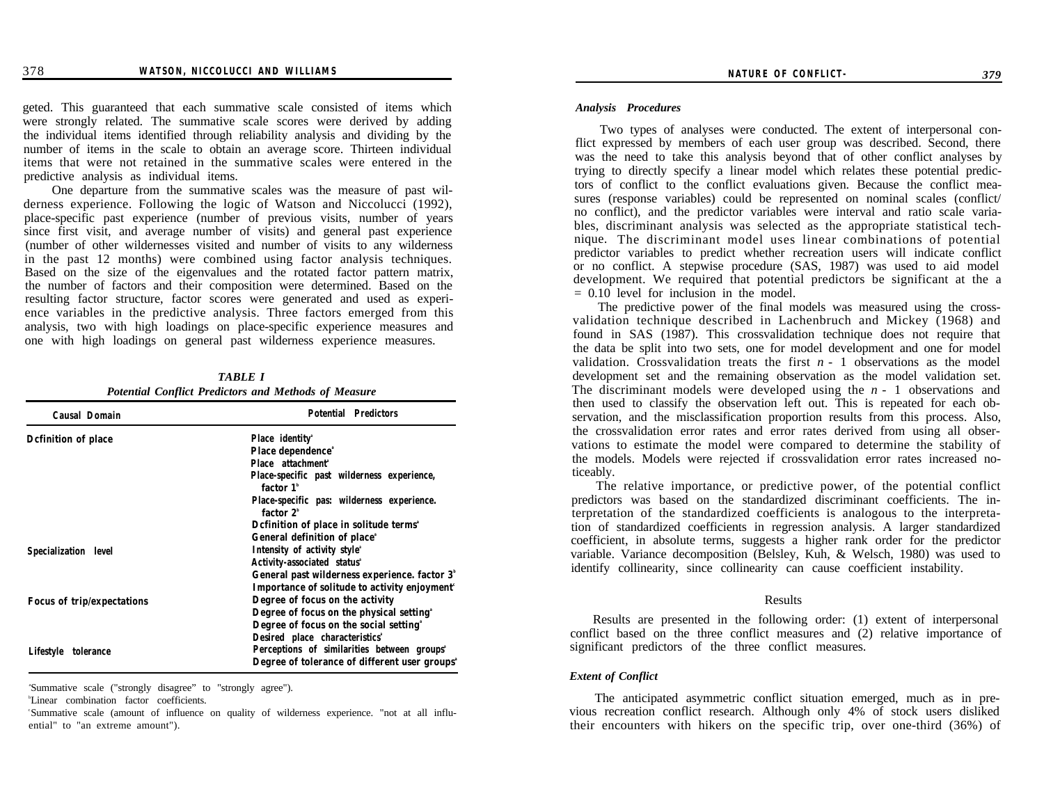geted. This guaranteed that each summative scale consisted of items which were strongly related. The summative scale scores were derived by adding the individual items identified through reliability analysis and dividing by the number of items in the scale to obtain an average score. Thirteen individual items that were not retained in the summative scales were entered in the predictive analysis as individual items.

One departure from the summative scales was the measure of past wilderness experience. Following the logic of Watson and Niccolucci (1992), place-specific past experience (number of previous visits, number of years since first visit, and average number of visits) and general past experience (number of other wildernesses visited and number of visits to any wilderness in the past 12 months) were combined using factor analysis techniques. Based on the size of the eigenvalues and the rotated factor pattern matrix, the number of factors and their composition were determined. Based on the resulting factor structure, factor scores were generated and used as experience variables in the predictive analysis. Three factors emerged from this analysis, two with high loadings on place-specific experience measures and one with high loadings on general past wilderness experience measures.

| <b>TABLE I</b> |  |                                                      |  |  |  |  |
|----------------|--|------------------------------------------------------|--|--|--|--|
|                |  | Potential Conflict Predictors and Methods of Measure |  |  |  |  |

| Causal Domain                     | <b>Potential Predictors</b>                                         |
|-----------------------------------|---------------------------------------------------------------------|
| <b>Definition of place</b>        | <b>Place identity</b>                                               |
|                                   | Place dependence <sup>*</sup>                                       |
|                                   | Place attachment <sup>®</sup>                                       |
|                                   | Place-specific past wilderness experience,<br>factor 1 <sup>b</sup> |
|                                   | Place-specific pas: wilderness experience.<br>factor $2^b$          |
|                                   | Definition of place in solitude terms <sup>4</sup>                  |
|                                   | General definition of place <sup>®</sup>                            |
| Specialization level              | Intensity of activity style <sup>®</sup>                            |
|                                   | Activity-associated status <sup>*</sup>                             |
|                                   | General past wilderness experience. factor 3 <sup>b</sup>           |
|                                   | Importance of solitude to activity enjoyment                        |
| <b>Focus of trip/expectations</b> | Degree of focus on the activity                                     |
|                                   | Degree of focus on the physical setting <sup>*</sup>                |
|                                   | Degree of focus on the social setting <sup>*</sup>                  |
|                                   | Desired place characteristics <sup>*</sup>                          |
| Lifestyle tolerance               | Perceptions of similarities between groups'                         |
|                                   | Degree of tolerance of different user groups <sup>*</sup>           |

a Summative scale ("strongly disagree" to "strongly agree").

b Linear combination factor coefficients.

Summative scale (amount of influence on quality of wilderness experience. "not at all influential" to "an extreme amount").

#### *Analysis Procedures*

Two types of analyses were conducted. The extent of interpersonal conflict expressed by members of each user group was described. Second, there was the need to take this analysis beyond that of other conflict analyses by trying to directly specify a linear model which relates these potential predictors of conflict to the conflict evaluations given. Because the conflict measures (response variables) could be represented on nominal scales (conflict/ no conflict), and the predictor variables were interval and ratio scale variables, discriminant analysis was selected as the appropriate statistical technique. The discriminant model uses linear combinations of potential predictor variables to predict whether recreation users will indicate conflict or no conflict. A stepwise procedure (SAS, 1987) was used to aid model development. We required that potential predictors be significant at the a  $= 0.10$  level for inclusion in the model.

The predictive power of the final models was measured using the crossvalidation technique described in Lachenbruch and Mickey (1968) and found in SAS (1987). This crossvalidation technique does not require that the data be split into two sets, one for model development and one for model validation. Crossvalidation treats the first *n* - 1 observations as the model development set and the remaining observation as the model validation set. The discriminant models were developed using the *n* - 1 observations and then used to classify the observation left out. This is repeated for each observation, and the misclassification proportion results from this process. Also, the crossvalidation error rates and error rates derived from using all observations to estimate the model were compared to determine the stability of the models. Models were rejected if crossvalidation error rates increased noticeably.

The relative importance, or predictive power, of the potential conflict predictors was based on the standardized discriminant coefficients. The interpretation of the standardized coefficients is analogous to the interpretation of standardized coefficients in regression analysis. A larger standardized coefficient, in absolute terms, suggests a higher rank order for the predictor variable. Variance decomposition (Belsley, Kuh, & Welsch, 1980) was used to identify collinearity, since collinearity can cause coefficient instability.

# Results

Results are presented in the following order: (1) extent of interpersonal conflict based on the three conflict measures and (2) relative importance of significant predictors of the three conflict measures.

#### *Extent of Conflict*

The anticipated asymmetric conflict situation emerged, much as in previous recreation conflict research. Although only 4% of stock users disliked their encounters with hikers on the specific trip, over one-third (36%) of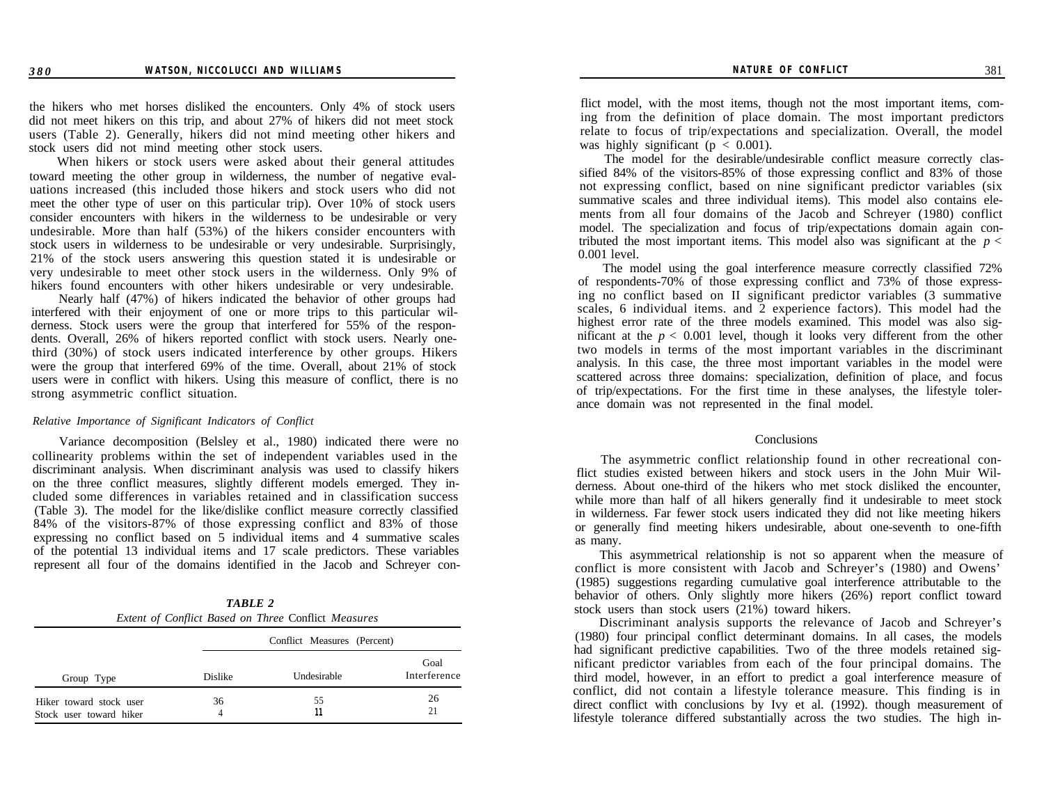the hikers who met horses disliked the encounters. Only 4% of stock users did not meet hikers on this trip, and about 27% of hikers did not meet stock users (Table 2). Generally, hikers did not mind meeting other hikers and stock users did not mind meeting other stock users.

When hikers or stock users were asked about their general attitudes toward meeting the other group in wilderness, the number of negative evaluations increased (this included those hikers and stock users who did not meet the other type of user on this particular trip). Over 10% of stock users consider encounters with hikers in the wilderness to be undesirable or very undesirable. More than half (53%) of the hikers consider encounters with stock users in wilderness to be undesirable or very undesirable. Surprisingly, 21% of the stock users answering this question stated it is undesirable or very undesirable to meet other stock users in the wilderness. Only 9% of hikers found encounters with other hikers undesirable or very undesirable.

Nearly half (47%) of hikers indicated the behavior of other groups had interfered with their enjoyment of one or more trips to this particular wilderness. Stock users were the group that interfered for 55% of the respondents. Overall, 26% of hikers reported conflict with stock users. Nearly onethird (30%) of stock users indicated interference by other groups. Hikers were the group that interfered 69% of the time. Overall, about 21% of stock users were in conflict with hikers. Using this measure of conflict, there is no strong asymmetric conflict situation.

#### *Relative Importance of Significant Indicators of Conflict*

Variance decomposition (Belsley et al., 1980) indicated there were no collinearity problems within the set of independent variables used in the discriminant analysis. When discriminant analysis was used to classify hikers on the three conflict measures, slightly different models emerged. They included some differences in variables retained and in classification success (Table 3). The model for the like/dislike conflict measure correctly classified 84% of the visitors-87% of those expressing conflict and 83% of those expressing no conflict based on 5 individual items and 4 summative scales of the potential 13 individual items and 17 scale predictors. These variables represent all four of the domains identified in the Jacob and Schreyer con-

| <b>TABLE 2</b> |  |  |  |  |  |  |                                                     |
|----------------|--|--|--|--|--|--|-----------------------------------------------------|
|                |  |  |  |  |  |  | Extent of Conflict Based on Three Conflict Measures |

|                                                    | Conflict Measures (Percent) |             |                      |  |
|----------------------------------------------------|-----------------------------|-------------|----------------------|--|
| Group Type                                         | Dislike                     | Undesirable | Goal<br>Interference |  |
| Hiker toward stock user<br>Stock user toward hiker | 36<br>4                     | 55          | 26<br>21             |  |

flict model, with the most items, though not the most important items, coming from the definition of place domain. The most important predictors relate to focus of trip/expectations and specialization. Overall, the model was highly significant ( $p < 0.001$ ).

The model for the desirable/undesirable conflict measure correctly classified 84% of the visitors-85% of those expressing conflict and 83% of those not expressing conflict, based on nine significant predictor variables (six summative scales and three individual items). This model also contains elements from all four domains of the Jacob and Schreyer (1980) conflict model. The specialization and focus of trip/expectations domain again contributed the most important items. This model also was significant at the  $p <$ 0.001 level.

The model using the goal interference measure correctly classified 72% of respondents-70% of those expressing conflict and 73% of those expressing no conflict based on II significant predictor variables (3 summative scales, 6 individual items. and 2 experience factors). This model had the highest error rate of the three models examined. This model was also significant at the  $p < 0.001$  level, though it looks very different from the other two models in terms of the most important variables in the discriminant analysis. In this case, the three most important variables in the model were scattered across three domains: specialization, definition of place, and focus of trip/expectations. For the first time in these analyses, the lifestyle tolerance domain was not represented in the final model.

#### **Conclusions**

The asymmetric conflict relationship found in other recreational conflict studies existed between hikers and stock users in the John Muir Wilderness. About one-third of the hikers who met stock disliked the encounter, while more than half of all hikers generally find it undesirable to meet stock in wilderness. Far fewer stock users indicated they did not like meeting hikers or generally find meeting hikers undesirable, about one-seventh to one-fifth as many.

This asymmetrical relationship is not so apparent when the measure of conflict is more consistent with Jacob and Schreyer's (1980) and Owens' (1985) suggestions regarding cumulative goal interference attributable to the behavior of others. Only slightly more hikers (26%) report conflict toward stock users than stock users (21%) toward hikers.

Discriminant analysis supports the relevance of Jacob and Schreyer's (1980) four principal conflict determinant domains. In all cases, the models had significant predictive capabilities. Two of the three models retained significant predictor variables from each of the four principal domains. The third model, however, in an effort to predict a goal interference measure of conflict, did not contain a lifestyle tolerance measure. This finding is in direct conflict with conclusions by Ivy et al. (1992). though measurement of lifestyle tolerance differed substantially across the two studies. The high in-